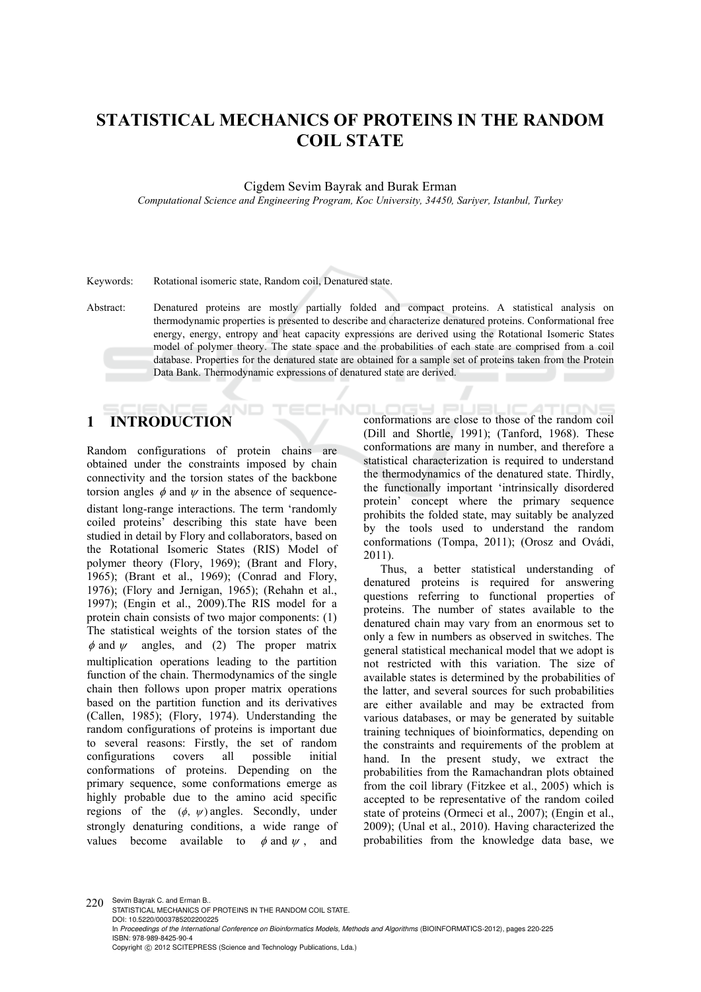# **STATISTICAL MECHANICS OF PROTEINS IN THE RANDOM COIL STATE**

Cigdem Sevim Bayrak and Burak Erman

*Computational Science and Engineering Program, Koc University, 34450, Sariyer, Istanbul, Turkey* 

Keywords: Rotational isomeric state, Random coil, Denatured state.

Abstract: Denatured proteins are mostly partially folded and compact proteins. A statistical analysis on thermodynamic properties is presented to describe and characterize denatured proteins. Conformational free energy, energy, entropy and heat capacity expressions are derived using the Rotational Isomeric States model of polymer theory. The state space and the probabilities of each state are comprised from a coil database. Properties for the denatured state are obtained for a sample set of proteins taken from the Protein Data Bank. Thermodynamic expressions of denatured state are derived.

**HNI** 

## **AND 1 INTRODUCTION**

Random configurations of protein chains are obtained under the constraints imposed by chain connectivity and the torsion states of the backbone torsion angles  $\phi$  and  $\psi$  in the absence of sequencedistant long-range interactions. The term 'randomly coiled proteins' describing this state have been studied in detail by Flory and collaborators, based on the Rotational Isomeric States (RIS) Model of polymer theory (Flory, 1969); (Brant and Flory, 1965); (Brant et al., 1969); (Conrad and Flory, 1976); (Flory and Jernigan, 1965); (Rehahn et al., 1997); (Engin et al., 2009).The RIS model for a protein chain consists of two major components: (1) The statistical weights of the torsion states of the  $\phi$  and  $\psi$  angles, and (2) The proper matrix multiplication operations leading to the partition function of the chain. Thermodynamics of the single chain then follows upon proper matrix operations based on the partition function and its derivatives (Callen, 1985); (Flory, 1974). Understanding the random configurations of proteins is important due to several reasons: Firstly, the set of random configurations covers all possible initial conformations of proteins. Depending on the primary sequence, some conformations emerge as highly probable due to the amino acid specific regions of the  $(\phi, \psi)$  angles. Secondly, under strongly denaturing conditions, a wide range of values become available to  $\phi$  and  $\psi$ , and

**DESIGN PLUEL IC ATTIC ING** conformations are close to those of the random coil (Dill and Shortle, 1991); (Tanford, 1968). These conformations are many in number, and therefore a statistical characterization is required to understand the thermodynamics of the denatured state. Thirdly, the functionally important 'intrinsically disordered protein' concept where the primary sequence prohibits the folded state, may suitably be analyzed by the tools used to understand the random conformations (Tompa, 2011); (Orosz and Ovádi, 2011).

Thus, a better statistical understanding of denatured proteins is required for answering questions referring to functional properties of proteins. The number of states available to the denatured chain may vary from an enormous set to only a few in numbers as observed in switches. The general statistical mechanical model that we adopt is not restricted with this variation. The size of available states is determined by the probabilities of the latter, and several sources for such probabilities are either available and may be extracted from various databases, or may be generated by suitable training techniques of bioinformatics, depending on the constraints and requirements of the problem at hand. In the present study, we extract the probabilities from the Ramachandran plots obtained from the coil library (Fitzkee et al., 2005) which is accepted to be representative of the random coiled state of proteins (Ormeci et al., 2007); (Engin et al., 2009); (Unal et al., 2010). Having characterized the probabilities from the knowledge data base, we

220 Sevim Bayrak C. and Erman B. STATISTICAL MECHANICS OF PROTEINS IN THE RANDOM COIL STATE. DOI: 10.5220/0003785202200225 In Proceedings of the International Conference on Bioinformatics Models, Methods and Algorithms (BIOINFORMATICS-2012), pages 220-225 ISBN: 978-989-8425-90-4 Copyright © 2012 SCITEPRESS (Science and Technology Publications, Lda.)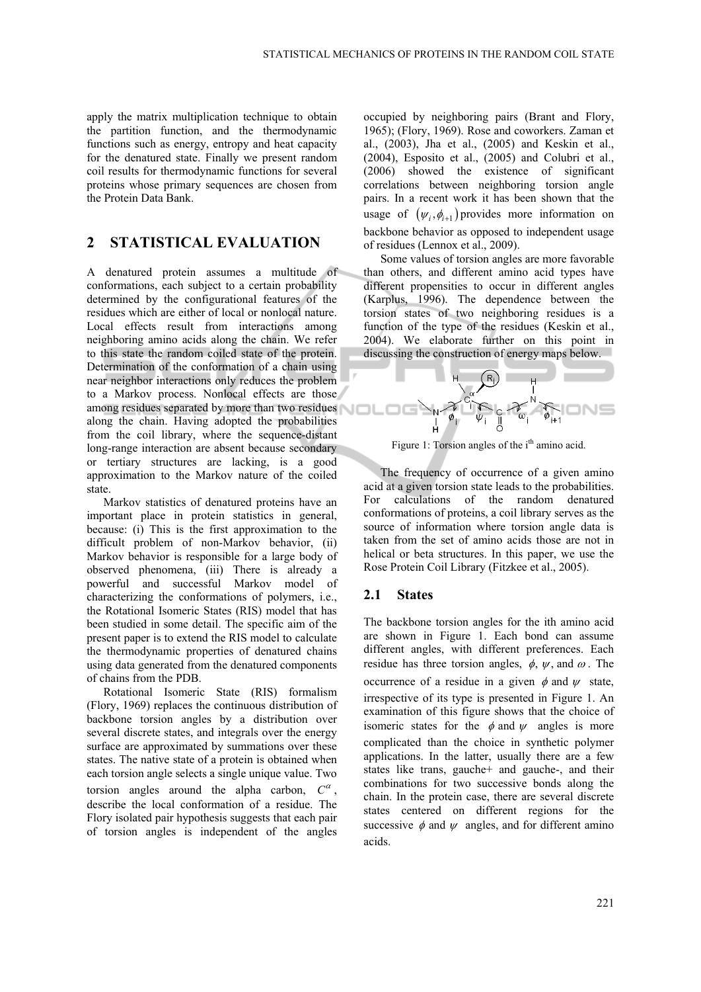apply the matrix multiplication technique to obtain the partition function, and the thermodynamic functions such as energy, entropy and heat capacity for the denatured state. Finally we present random coil results for thermodynamic functions for several proteins whose primary sequences are chosen from the Protein Data Bank.

# **2 STATISTICAL EVALUATION**

A denatured protein assumes a multitude of conformations, each subject to a certain probability determined by the configurational features of the residues which are either of local or nonlocal nature. Local effects result from interactions among neighboring amino acids along the chain. We refer to this state the random coiled state of the protein. Determination of the conformation of a chain using near neighbor interactions only reduces the problem to a Markov process. Nonlocal effects are those among residues separated by more than two residues along the chain. Having adopted the probabilities from the coil library, where the sequence-distant long-range interaction are absent because secondary or tertiary structures are lacking, is a good approximation to the Markov nature of the coiled state.

Markov statistics of denatured proteins have an important place in protein statistics in general, because: (i) This is the first approximation to the difficult problem of non-Markov behavior, (ii) Markov behavior is responsible for a large body of observed phenomena, (iii) There is already a powerful and successful Markov model of characterizing the conformations of polymers, i.e., the Rotational Isomeric States (RIS) model that has been studied in some detail. The specific aim of the present paper is to extend the RIS model to calculate the thermodynamic properties of denatured chains using data generated from the denatured components of chains from the PDB.

Rotational Isomeric State (RIS) formalism (Flory, 1969) replaces the continuous distribution of backbone torsion angles by a distribution over several discrete states, and integrals over the energy surface are approximated by summations over these states. The native state of a protein is obtained when each torsion angle selects a single unique value. Two torsion angles around the alpha carbon,  $C^{\alpha}$ , describe the local conformation of a residue. The Flory isolated pair hypothesis suggests that each pair of torsion angles is independent of the angles

occupied by neighboring pairs (Brant and Flory, 1965); (Flory, 1969). Rose and coworkers. Zaman et al., (2003), Jha et al., (2005) and Keskin et al., (2004), Esposito et al., (2005) and Colubri et al., (2006) showed the existence of significant correlations between neighboring torsion angle pairs. In a recent work it has been shown that the usage of  $(\psi_i, \phi_{i+1})$  provides more information on backbone behavior as opposed to independent usage of residues (Lennox et al., 2009).

Some values of torsion angles are more favorable than others, and different amino acid types have different propensities to occur in different angles (Karplus, 1996). The dependence between the torsion states of two neighboring residues is a function of the type of the residues (Keskin et al., 2004). We elaborate further on this point in discussing the construction of energy maps below.



Figure 1: Torsion angles of the i<sup>th</sup> amino acid.

The frequency of occurrence of a given amino acid at a given torsion state leads to the probabilities. For calculations of the random denatured conformations of proteins, a coil library serves as the source of information where torsion angle data is taken from the set of amino acids those are not in helical or beta structures. In this paper, we use the Rose Protein Coil Library (Fitzkee et al., 2005).

### **2.1 States**

The backbone torsion angles for the ith amino acid are shown in Figure 1. Each bond can assume different angles, with different preferences. Each residue has three torsion angles,  $\phi$ ,  $\psi$ , and  $\omega$ . The occurrence of a residue in a given  $\phi$  and  $\psi$  state, irrespective of its type is presented in Figure 1. An examination of this figure shows that the choice of isomeric states for the  $\phi$  and  $\psi$  angles is more complicated than the choice in synthetic polymer applications. In the latter, usually there are a few states like trans, gauche+ and gauche-, and their combinations for two successive bonds along the chain. In the protein case, there are several discrete states centered on different regions for the successive  $\phi$  and  $\psi$  angles, and for different amino acids.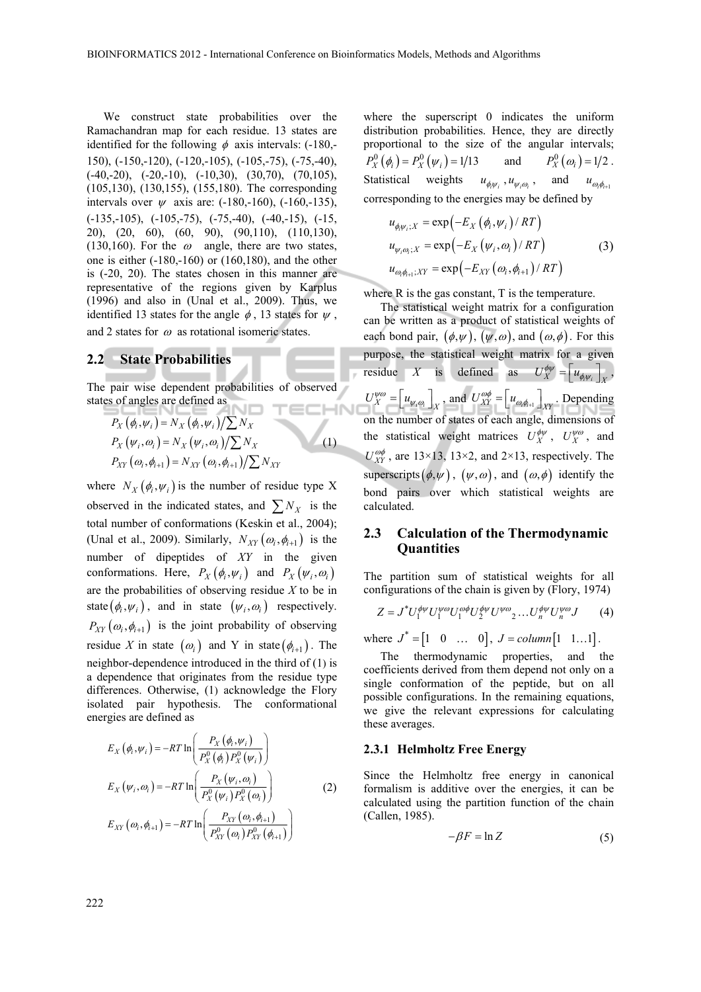We construct state probabilities over the Ramachandran map for each residue. 13 states are identified for the following  $\phi$  axis intervals: (-180,-150), (-150,-120), (-120,-105), (-105,-75), (-75,-40),  $(-40,-20)$ ,  $(-20,-10)$ ,  $(-10,30)$ ,  $(30,70)$ ,  $(70,105)$ , (105,130), (130,155), (155,180). The corresponding intervals over  $\psi$  axis are: (-180,-160), (-160,-135), (-135,-105), (-105,-75), (-75,-40), (-40,-15), (-15, 20), (20, 60), (60, 90), (90,110), (110,130), (130,160). For the  $\omega$  angle, there are two states, one is either (-180,-160) or (160,180), and the other is (-20, 20). The states chosen in this manner are representative of the regions given by Karplus (1996) and also in (Unal et al., 2009). Thus, we identified 13 states for the angle  $\phi$ , 13 states for  $\psi$ , and 2 states for  $\omega$  as rotational isomeric states.

# **2.2 State Probabilities**

The pair wise dependent probabilities of observed states of angles are defined as

$$
P_X(\phi_i, \psi_i) = N_X(\phi_i, \psi_i)/\sum N_X
$$
  
\n
$$
P_X(\psi_i, \omega_i) = N_X(\psi_i, \omega_i)/\sum N_X
$$
  
\n
$$
P_{XY}(\omega_i, \phi_{i+1}) = N_{XY}(\omega_i, \phi_{i+1})/\sum N_{XY}
$$
\n(1)

where  $N_X(\phi_i, \psi_i)$  is the number of residue type X observed in the indicated states, and  $\sum N_X$  is the total number of conformations (Keskin et al., 2004); (Unal et al., 2009). Similarly,  $N_{XY}(\omega_i, \phi_{i+1})$  is the number of dipeptides of *XY* in the given conformations. Here,  $P_X(\phi_i, \psi_i)$  and  $P_X(\psi_i, \omega_i)$ are the probabilities of observing residue *X* to be in state  $(\phi_i, \psi_i)$ , and in state  $(\psi_i, \omega_i)$  respectively.  $P_{XY}(\omega_i, \phi_{i+1})$  is the joint probability of observing residue *X* in state  $(\omega_i)$  and Y in state  $(\phi_{i+1})$ . The neighbor-dependence introduced in the third of (1) is a dependence that originates from the residue type differences. Otherwise, (1) acknowledge the Flory isolated pair hypothesis. The conformational energies are defined as

$$
E_X(\phi_i, \psi_i) = -RT \ln \left( \frac{P_X(\phi_i, \psi_i)}{P_X^0(\phi_i) P_X^0(\psi_i)} \right)
$$
  
\n
$$
E_X(\psi_i, \omega_i) = -RT \ln \left( \frac{P_X(\psi_i, \omega_i)}{P_X^0(\psi_i) P_X^0(\omega_i)} \right)
$$
  
\n
$$
E_{XY}(\omega_i, \phi_{i+1}) = -RT \ln \left( \frac{P_{XY}(\omega_i, \phi_{i+1})}{P_{XY}^0(\omega_i) P_{XY}^0(\phi_{i+1})} \right)
$$
\n(2)

where the superscript 0 indicates the uniform distribution probabilities. Hence, they are directly proportional to the size of the angular intervals;  $P_X^0(\phi_i) = P_X^0(\psi_i) = 1/13$  and  $P_X^0(\omega_i) = 1/2$ . Statistical weights  $u_{\phi_i \psi_i}$ ,  $u_{\psi_i \omega_i}$ , and  $u_{\omega_i \phi_{i+1}}$ corresponding to the energies may be defined by

$$
u_{\phi_i \psi_i; X} = \exp(-E_X (\phi_i, \psi_i) / RT)
$$
  
\n
$$
u_{\psi_i \omega_i; X} = \exp(-E_X (\psi_i, \omega_i) / RT)
$$
 (3)  
\n
$$
u_{\omega_i \phi_{i+1}; XY} = \exp(-E_{XY} (\omega_i, \phi_{i+1}) / RT)
$$

where R is the gas constant, T is the temperature.

The statistical weight matrix for a configuration can be written as a product of statistical weights of each bond pair,  $(\phi, \psi)$ ,  $(\psi, \omega)$ , and  $(\omega, \phi)$ . For this purpose, the statistical weight matrix for a given residue *X* is defined as  $U_X^{\phi\psi} = u_{\phi_i\psi_i} \Big|_X$ ,  $U_X^{\psi\omega} = u_{\psi_i\omega_i} \bigg|_{X}$ , and  $U_{XY}^{\omega\phi} = u_{\omega_i\phi_{i+1}} \bigg|_{XY}$ . Depending on the number of states of each angle, dimensions of the statistical weight matrices  $U_X^{\phi\psi}$ ,  $U_X^{\psi\omega}$ , and  $U_{XY}^{\omega\phi}$ , are 13×13, 13×2, and 2×13, respectively. The superscripts  $(\phi, \psi)$ ,  $(\psi, \omega)$ , and  $(\omega, \phi)$  identify the bond pairs over which statistical weights are calculated.

## **2.3 Calculation of the Thermodynamic Quantities**

The partition sum of statistical weights for all configurations of the chain is given by (Flory, 1974)

$$
Z = J^* U_1^{\phi \psi} U_1^{\psi \omega} U_1^{\omega \phi} U_2^{\phi \psi} U^{\psi \omega}{}_{2} \dots U_n^{\phi \psi} U_n^{\psi \omega} J \qquad (4)
$$

where  $J^* = [1 \ 0 \ \dots \ 0], J = column[1 \ 1 \dots 1].$ 

The thermodynamic properties, and the coefficients derived from them depend not only on a single conformation of the peptide, but on all possible configurations. In the remaining equations, we give the relevant expressions for calculating these averages.

#### **2.3.1 Helmholtz Free Energy**

Since the Helmholtz free energy in canonical formalism is additive over the energies, it can be calculated using the partition function of the chain (Callen, 1985).

$$
-\beta F = \ln Z \tag{5}
$$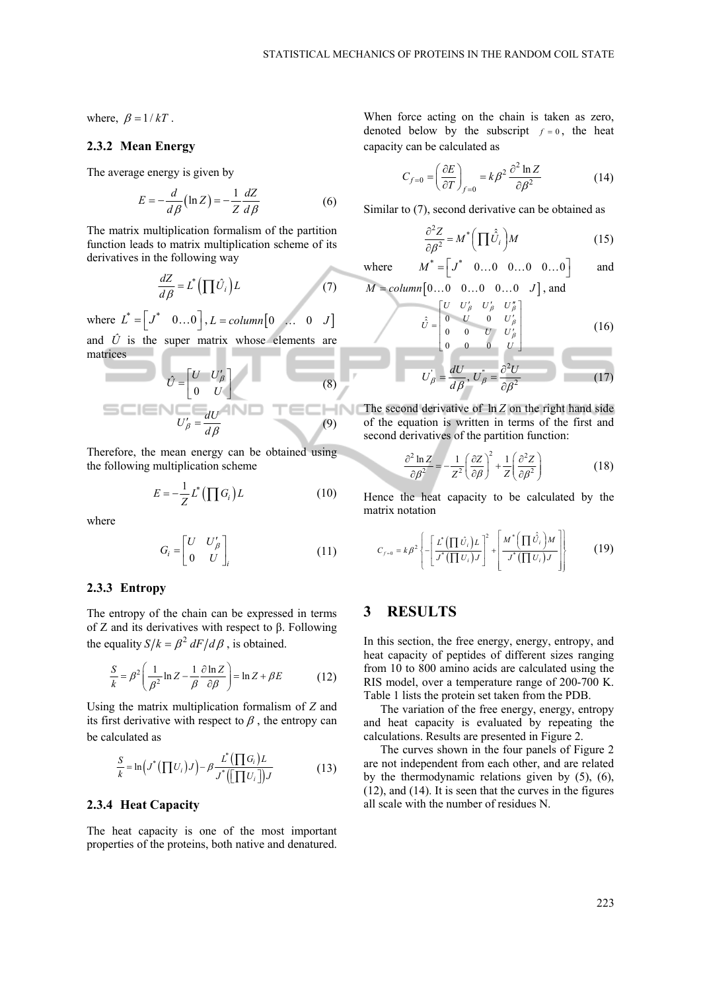where,  $\beta = 1/kT$ .

### **2.3.2 Mean Energy**

The average energy is given by

$$
E = -\frac{d}{d\beta} \left( \ln Z \right) = -\frac{1}{Z} \frac{dZ}{d\beta} \tag{6}
$$

The matrix multiplication formalism of the partition function leads to matrix multiplication scheme of its derivatives in the following way

$$
\frac{dZ}{d\beta} = L^* \left( \prod \hat{U}_i \right) L \tag{7}
$$

where  $L^* = \begin{bmatrix} J^* & 0 \dots 0 \end{bmatrix}$ ,  $L = column \begin{bmatrix} 0 & \dots & 0 & J \end{bmatrix}$ 

and  $\hat{U}$  is the super matrix whose elements are matrices

$$
\hat{U} = \begin{bmatrix} U & U'_{\beta} \\ 0 & U \end{bmatrix}
$$
(8)  
S  

$$
U'_{\beta} = \frac{dU}{d\beta}
$$
(9)

Therefore, the mean energy can be obtained using the following multiplication scheme

$$
E = -\frac{1}{Z}L^* \left( \prod G_i \right) L \tag{10}
$$

where

$$
G_i = \begin{bmatrix} U & U'_{\beta} \\ 0 & U \end{bmatrix}_i \tag{11}
$$

#### **2.3.3 Entropy**

The entropy of the chain can be expressed in terms of Z and its derivatives with respect to β. Following the equality  $S/k = \beta^2 dF/d\beta$ , is obtained.

$$
\frac{S}{k} = \beta^2 \left( \frac{1}{\beta^2} \ln Z - \frac{1}{\beta} \frac{\partial \ln Z}{\partial \beta} \right) = \ln Z + \beta E \tag{12}
$$

Using the matrix multiplication formalism of *Z* and its first derivative with respect to  $\beta$ , the entropy can be calculated as

$$
\frac{S}{k} = \ln\left(J^*\left(\prod U_i\right)J\right) - \beta \frac{L^*\left(\prod G_i\right)L}{J^*\left(\left[\prod U_i\right]\right)J}
$$
\n(13)

#### **2.3.4 Heat Capacity**

The heat capacity is one of the most important properties of the proteins, both native and denatured.

When force acting on the chain is taken as zero, denoted below by the subscript  $f = 0$ , the heat capacity can be calculated as

$$
C_{f=0} = \left(\frac{\partial E}{\partial T}\right)_{f=0} = k\beta^2 \frac{\partial^2 \ln Z}{\partial \beta^2}
$$
 (14)

Similar to (7), second derivative can be obtained as

$$
\frac{\partial^2 Z}{\partial \beta^2} = M^* \left( \prod \hat{U}_i \right) M \tag{15}
$$

where 
$$
M^* = \begin{bmatrix} J^* & 0 \dots 0 & 0 \dots 0 & 0 \dots 0 \end{bmatrix}
$$
 and

$$
M = column[0...0 \quad 0...0 \quad 0...0 \quad J],
$$
 and

 $\hat{U}$ 

$$
\hat{j} = \begin{bmatrix} U & U'_{\beta} & U'_{\beta} & U''_{\beta} \\ 0 & U & 0 & U'_{\beta} \\ 0 & 0 & U & U'_{\beta} \\ 0 & 0 & 0 & U \end{bmatrix}
$$
 (16)

$$
U_{\beta} = \frac{dU}{d\beta}, U_{\beta}^* = \frac{\partial^2 U}{\partial \beta^2}
$$
 (17)

NK The second derivative of ln *Z* on the right hand side of the equation is written in terms of the first and second derivatives of the partition function:

$$
\frac{\partial^2 \ln Z}{\partial \beta^2} = -\frac{1}{Z^2} \left( \frac{\partial Z}{\partial \beta} \right)^2 + \frac{1}{Z} \left( \frac{\partial^2 Z}{\partial \beta^2} \right)
$$
(18)

Hence the heat capacity to be calculated by the matrix notation

$$
C_{f=0} = k\beta^2 \left\{ -\left[ \frac{L^* \left( \prod \hat{U}_i \right) L}{J^* \left( \prod U_i \right) J} \right]^2 + \left[ \frac{M^* \left( \prod \hat{U}_i \right) M}{J^* \left( \prod U_i \right) J} \right] \right\}
$$
(19)

## **3 RESULTS**

In this section, the free energy, energy, entropy, and heat capacity of peptides of different sizes ranging from 10 to 800 amino acids are calculated using the RIS model, over a temperature range of 200-700 K. Table 1 lists the protein set taken from the PDB.

The variation of the free energy, energy, entropy and heat capacity is evaluated by repeating the calculations. Results are presented in Figure 2.

The curves shown in the four panels of Figure 2 are not independent from each other, and are related by the thermodynamic relations given by (5), (6), (12), and (14). It is seen that the curves in the figures all scale with the number of residues N.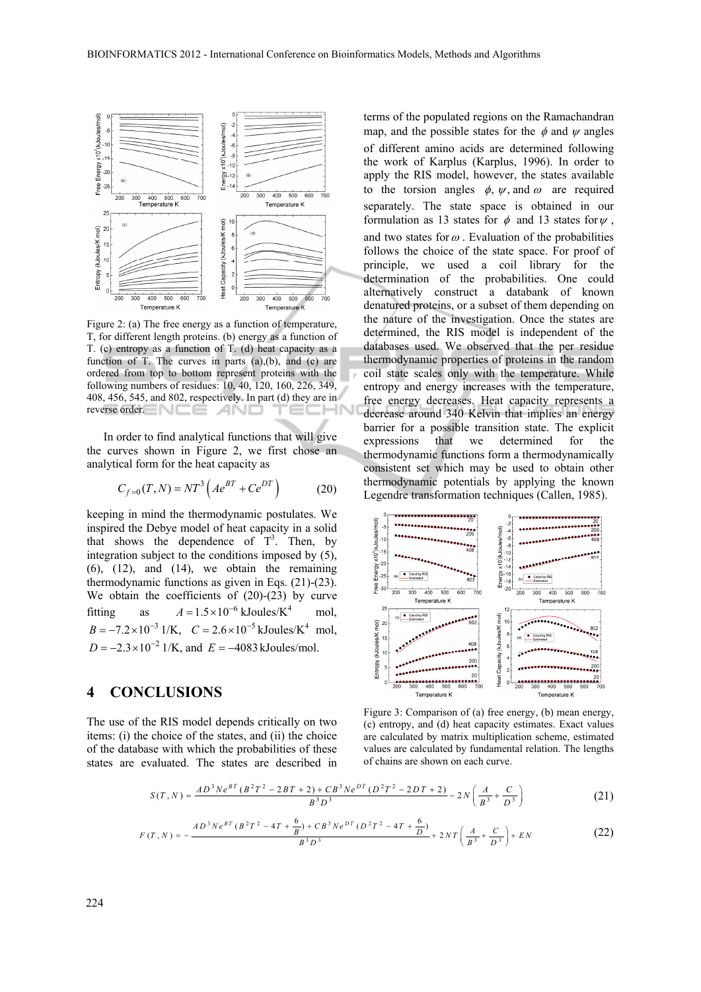

Figure 2: (a) The free energy as a function of temperature, T, for different length proteins. (b) energy as a function of T. (c) entropy as a function of T. (d) heat capacity as a function of T. The curves in parts  $(a)$ , $(b)$ , and  $(c)$  are ordered from top to bottom represent proteins with the following numbers of residues: 10, 40, 120, 160, 226, 349, 408, 456, 545, and 802, respectively. In part (d) they are in reverse order.

In order to find analytical functions that will give the curves shown in Figure 2, we first chose an analytical form for the heat capacity as

$$
C_{f=0}(T,N) = NT^3 \left( Ae^{BT} + Ce^{DT} \right) \tag{20}
$$

keeping in mind the thermodynamic postulates. We inspired the Debye model of heat capacity in a solid that shows the dependence of  $T^3$ . Then, by integration subject to the conditions imposed by (5),  $(6)$ ,  $(12)$ , and  $(14)$ , we obtain the remaining thermodynamic functions as given in Eqs. (21)-(23). We obtain the coefficients of (20)-(23) by curve fitting as  $A = 1.5 \times 10^{-6}$  kJoules/K<sup>4</sup> mol,  $B = -7.2 \times 10^{-3}$  1/K,  $C = 2.6 \times 10^{-5}$  kJoules/K<sup>4</sup> mol,  $D = -2.3 \times 10^{-2}$  1/K, and  $E = -4083$  kJoules/mol.

## **4 CONCLUSIONS**

The use of the RIS model depends critically on two items: (i) the choice of the states, and (ii) the choice of the database with which the probabilities of these states are evaluated. The states are described in

terms of the populated regions on the Ramachandran map, and the possible states for the  $\phi$  and  $\psi$  angles of different amino acids are determined following the work of Karplus (Karplus, 1996). In order to apply the RIS model, however, the states available to the torsion angles  $\phi$ ,  $\psi$ , and  $\omega$  are required separately. The state space is obtained in our formulation as 13 states for  $\phi$  and 13 states for  $\psi$ , and two states for  $\omega$ . Evaluation of the probabilities follows the choice of the state space. For proof of principle, we used a coil library for the determination of the probabilities. One could alternatively construct a databank of known denatured proteins, or a subset of them depending on the nature of the investigation. Once the states are determined, the RIS model is independent of the databases used. We observed that the per residue thermodynamic properties of proteins in the random coil state scales only with the temperature. While entropy and energy increases with the temperature, free energy decreases. Heat capacity represents a decrease around 340 Kelvin that implies an energy barrier for a possible transition state. The explicit expressions that we determined for the thermodynamic functions form a thermodynamically consistent set which may be used to obtain other thermodynamic potentials by applying the known Legendre transformation techniques (Callen, 1985).



Figure 3: Comparison of (a) free energy, (b) mean energy, (c) entropy, and (d) heat capacity estimates. Exact values are calculated by matrix multiplication scheme, estimated values are calculated by fundamental relation. The lengths of chains are shown on each curve.

$$
S(T, N) = \frac{AD^3Ne^{BT}(B^2T^2 - 2BT + 2) + CB^3Ne^{DT}(D^2T^2 - 2DT + 2)}{B^3D^3} - 2N\left(\frac{A}{B^3} + \frac{C}{D^3}\right)
$$
(21)

$$
F(T, N) = -\frac{AD^{3}Ne^{BT}(B^{2}T^{2} - 4T + \frac{6}{B}) + CB^{3}Ne^{DT}(D^{2}T^{2} - 4T + \frac{6}{D})}{B^{3}D^{3}} + 2NT\left(\frac{A}{B^{3}} + \frac{C}{D^{3}}\right) + EN
$$
\n(22)